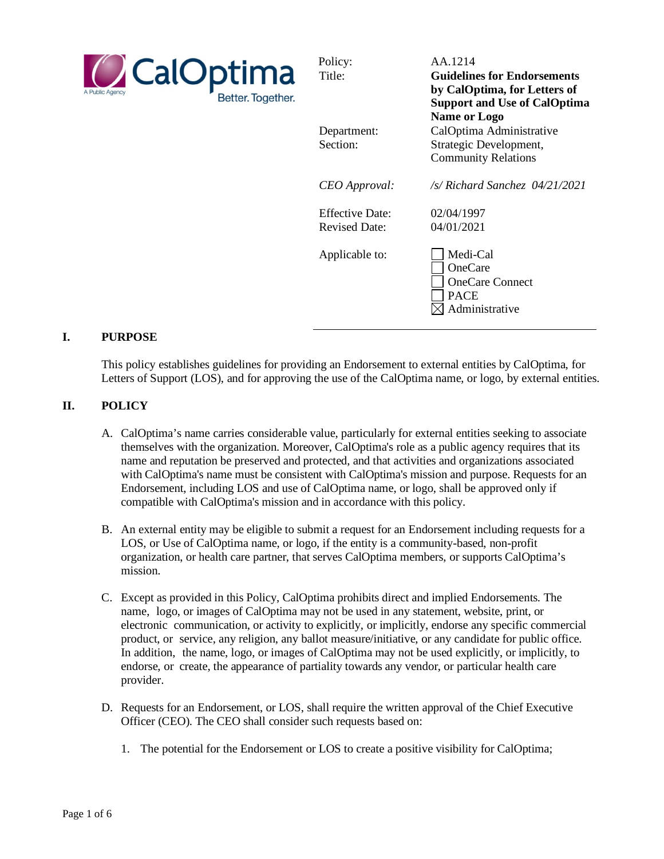

Policy: AA.1214 Title: **Guidelines for Endorsements by CalOptima, for Letters of Support and Use of CalOptima Name or Logo** Department: CalOptima Administrative Section: Strategic Development, Community Relations *CEO Approval: /s/ Richard Sanchez 04/21/2021* Effective Date: 02/04/1997 Revised Date: 04/01/2021 Applicable to: Medi-Cal OneCare OneCare Connect

> PACE  $\boxtimes$  Administrative

#### **I. PURPOSE**

This policy establishes guidelines for providing an Endorsement to external entities by CalOptima, for Letters of Support (LOS), and for approving the use of the CalOptima name, or logo, by external entities.

### **II. POLICY**

- A. CalOptima's name carries considerable value, particularly for external entities seeking to associate themselves with the organization. Moreover, CalOptima's role as a public agency requires that its name and reputation be preserved and protected, and that activities and organizations associated with CalOptima's name must be consistent with CalOptima's mission and purpose. Requests for an Endorsement, including LOS and use of CalOptima name, or logo, shall be approved only if compatible with CalOptima's mission and in accordance with this policy.
- B. An external entity may be eligible to submit a request for an Endorsement including requests for a LOS, or Use of CalOptima name, or logo, if the entity is a community-based, non-profit organization, or health care partner, that serves CalOptima members, or supports CalOptima's mission.
- C. Except as provided in this Policy, CalOptima prohibits direct and implied Endorsements. The name, logo, or images of CalOptima may not be used in any statement, website, print, or electronic communication, or activity to explicitly, or implicitly, endorse any specific commercial product, or service, any religion, any ballot measure/initiative, or any candidate for public office. In addition, the name, logo, or images of CalOptima may not be used explicitly, or implicitly, to endorse, or create, the appearance of partiality towards any vendor, or particular health care provider.
- D. Requests for an Endorsement, or LOS, shall require the written approval of the Chief Executive Officer (CEO). The CEO shall consider such requests based on:
	- 1. The potential for the Endorsement or LOS to create a positive visibility for CalOptima;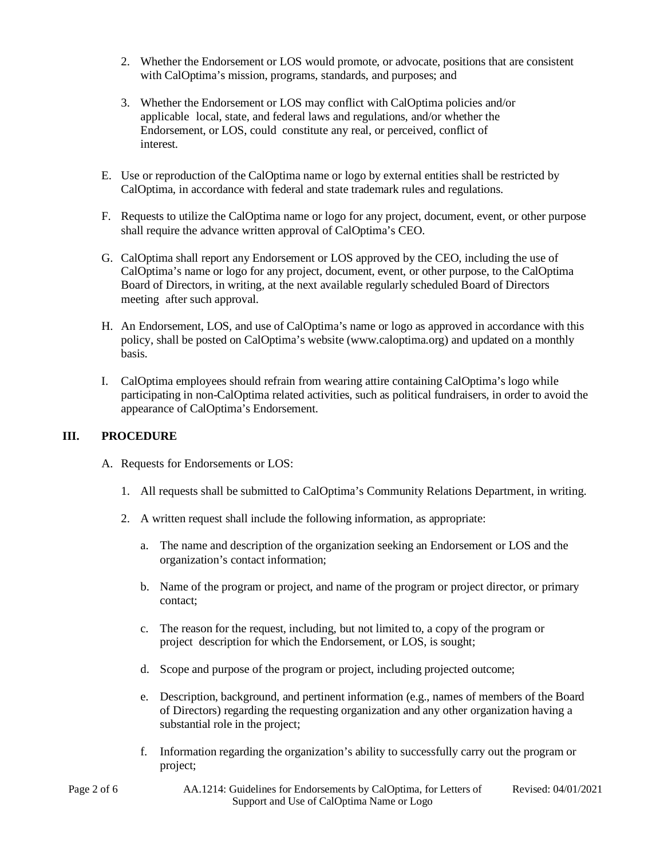- 2. Whether the Endorsement or LOS would promote, or advocate, positions that are consistent with CalOptima's mission, programs, standards, and purposes; and
- 3. Whether the Endorsement or LOS may conflict with CalOptima policies and/or applicable local, state, and federal laws and regulations, and/or whether the Endorsement, or LOS, could constitute any real, or perceived, conflict of interest.
- E. Use or reproduction of the CalOptima name or logo by external entities shall be restricted by CalOptima, in accordance with federal and state trademark rules and regulations.
- F. Requests to utilize the CalOptima name or logo for any project, document, event, or other purpose shall require the advance written approval of CalOptima's CEO.
- G. CalOptima shall report any Endorsement or LOS approved by the CEO, including the use of CalOptima's name or logo for any project, document, event, or other purpose, to the CalOptima Board of Directors, in writing, at the next available regularly scheduled Board of Directors meeting after such approval.
- H. An Endorsement, LOS, and use of CalOptima's name or logo as approved in accordance with this policy, shall be posted on CalOptima's website (www.caloptima.org) and updated on a monthly basis.
- I. CalOptima employees should refrain from wearing attire containing CalOptima's logo while participating in non-CalOptima related activities, such as political fundraisers, in order to avoid the appearance of CalOptima's Endorsement.

#### **III. PROCEDURE**

- A. Requests for Endorsements or LOS:
	- 1. All requests shall be submitted to CalOptima's Community Relations Department, in writing.
	- 2. A written request shall include the following information, as appropriate:
		- a. The name and description of the organization seeking an Endorsement or LOS and the organization's contact information;
		- b. Name of the program or project, and name of the program or project director, or primary contact;
		- c. The reason for the request, including, but not limited to, a copy of the program or project description for which the Endorsement, or LOS, is sought;
		- d. Scope and purpose of the program or project, including projected outcome;
		- e. Description, background, and pertinent information (e.g., names of members of the Board of Directors) regarding the requesting organization and any other organization having a substantial role in the project;
		- f. Information regarding the organization's ability to successfully carry out the program or project;
- Page 2 of 6 AA.1214: Guidelines for Endorsements by CalOptima, for Letters of Support and Use of CalOptima Name or Logo Revised: 04/01/2021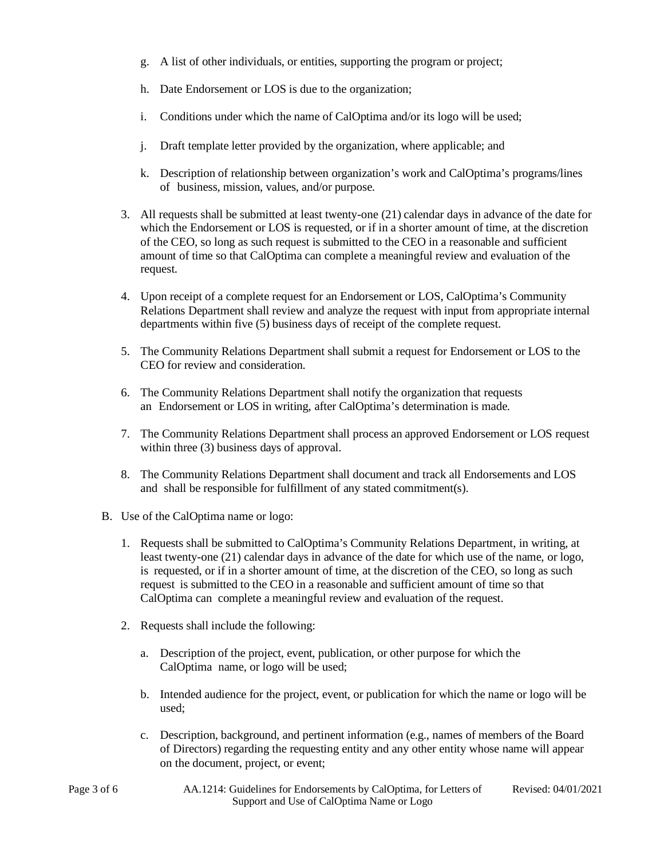- g. A list of other individuals, or entities, supporting the program or project;
- h. Date Endorsement or LOS is due to the organization;
- i. Conditions under which the name of CalOptima and/or its logo will be used;
- j. Draft template letter provided by the organization, where applicable; and
- k. Description of relationship between organization's work and CalOptima's programs/lines of business, mission, values, and/or purpose.
- 3. All requests shall be submitted at least twenty-one (21) calendar days in advance of the date for which the Endorsement or LOS is requested, or if in a shorter amount of time, at the discretion of the CEO, so long as such request is submitted to the CEO in a reasonable and sufficient amount of time so that CalOptima can complete a meaningful review and evaluation of the request.
- 4. Upon receipt of a complete request for an Endorsement or LOS, CalOptima's Community Relations Department shall review and analyze the request with input from appropriate internal departments within five (5) business days of receipt of the complete request.
- 5. The Community Relations Department shall submit a request for Endorsement or LOS to the CEO for review and consideration.
- 6. The Community Relations Department shall notify the organization that requests an Endorsement or LOS in writing, after CalOptima's determination is made.
- 7. The Community Relations Department shall process an approved Endorsement or LOS request within three (3) business days of approval.
- 8. The Community Relations Department shall document and track all Endorsements and LOS and shall be responsible for fulfillment of any stated commitment(s).
- B. Use of the CalOptima name or logo:
	- 1. Requests shall be submitted to CalOptima's Community Relations Department, in writing, at least twenty-one (21) calendar days in advance of the date for which use of the name, or logo, is requested, or if in a shorter amount of time, at the discretion of the CEO, so long as such request is submitted to the CEO in a reasonable and sufficient amount of time so that CalOptima can complete a meaningful review and evaluation of the request.
	- 2. Requests shall include the following:
		- a. Description of the project, event, publication, or other purpose for which the CalOptima name, or logo will be used;
		- b. Intended audience for the project, event, or publication for which the name or logo will be used;
		- c. Description, background, and pertinent information (e.g., names of members of the Board of Directors) regarding the requesting entity and any other entity whose name will appear on the document, project, or event;
- 
- Page 3 of 6 AA.1214: Guidelines for Endorsements by CalOptima, for Letters of Support and Use of CalOptima Name or Logo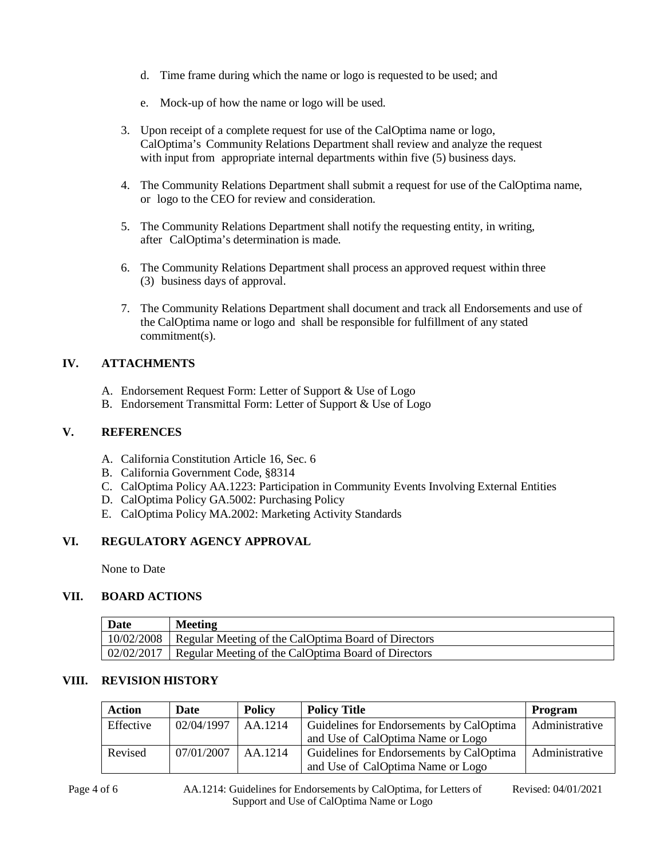- d. Time frame during which the name or logo is requested to be used; and
- e. Mock-up of how the name or logo will be used.
- 3. Upon receipt of a complete request for use of the CalOptima name or logo, CalOptima's Community Relations Department shall review and analyze the request with input from appropriate internal departments within five (5) business days.
- 4. The Community Relations Department shall submit a request for use of the CalOptima name, or logo to the CEO for review and consideration.
- 5. The Community Relations Department shall notify the requesting entity, in writing, after CalOptima's determination is made.
- 6. The Community Relations Department shall process an approved request within three (3) business days of approval.
- 7. The Community Relations Department shall document and track all Endorsements and use of the CalOptima name or logo and shall be responsible for fulfillment of any stated commitment(s).

# **IV. ATTACHMENTS**

- A. Endorsement Request Form: Letter of Support & Use of Logo
- B. Endorsement Transmittal Form: Letter of Support & Use of Logo

### **V. REFERENCES**

- A. California Constitution Article 16, Sec. 6
- B. California Government Code, §8314
- C. CalOptima Policy AA.1223: Participation in Community Events Involving External Entities
- D. CalOptima Policy GA.5002: Purchasing Policy
- E. CalOptima Policy MA.2002: Marketing Activity Standards

# **VI. REGULATORY AGENCY APPROVAL**

None to Date

# **VII. BOARD ACTIONS**

| <b>Date</b> | <b>Meeting</b>                                                   |
|-------------|------------------------------------------------------------------|
|             | 10/02/2008   Regular Meeting of the CalOptima Board of Directors |
|             | 02/02/2017   Regular Meeting of the CalOptima Board of Directors |

#### **VIII. REVISION HISTORY**

| <b>Action</b> | Date       | <b>Policy</b> | <b>Policy Title</b>                      | <b>Program</b> |
|---------------|------------|---------------|------------------------------------------|----------------|
| Effective     | 02/04/1997 | AA.1214       | Guidelines for Endorsements by CalOptima | Administrative |
|               |            |               | and Use of CalOptima Name or Logo        |                |
| Revised       | 07/01/2007 | AA.1214       | Guidelines for Endorsements by CalOptima | Administrative |
|               |            |               | and Use of CalOptima Name or Logo        |                |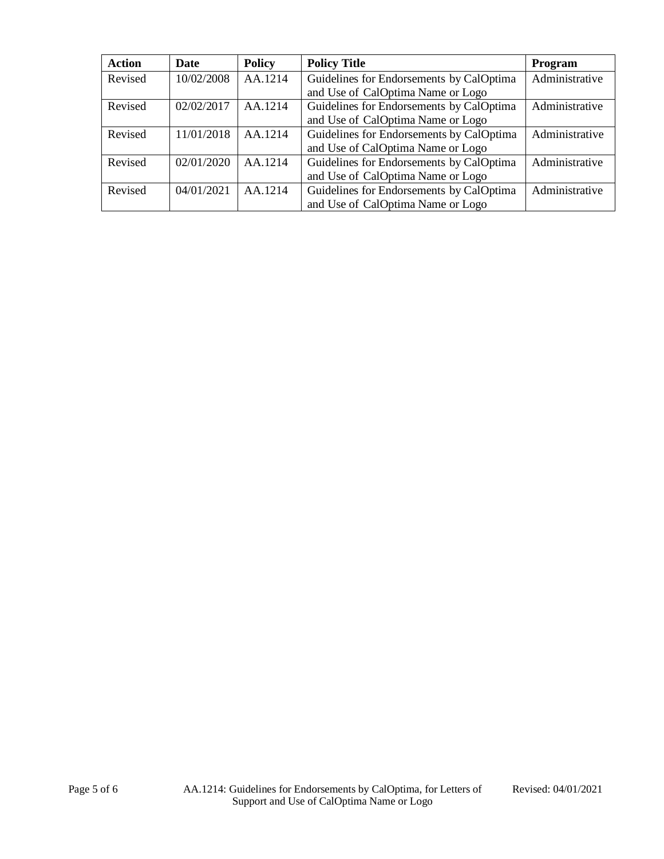| <b>Action</b> | Date                                                              | <b>Policy</b> | <b>Policy Title</b>                      | Program        |
|---------------|-------------------------------------------------------------------|---------------|------------------------------------------|----------------|
| Revised       | 10/02/2008                                                        | AA.1214       | Guidelines for Endorsements by CalOptima | Administrative |
|               |                                                                   |               | and Use of CalOptima Name or Logo        |                |
| Revised       | Guidelines for Endorsements by CalOptima<br>AA.1214<br>02/02/2017 |               | Administrative                           |                |
|               |                                                                   |               | and Use of CalOptima Name or Logo        |                |
| Revised       | 11/01/2018                                                        | AA.1214       | Guidelines for Endorsements by CalOptima | Administrative |
|               |                                                                   |               | and Use of CalOptima Name or Logo        |                |
| Revised       | Guidelines for Endorsements by CalOptima<br>02/01/2020<br>AA.1214 |               | Administrative                           |                |
|               |                                                                   |               | and Use of CalOptima Name or Logo        |                |
| Revised       | 04/01/2021                                                        | AA.1214       | Guidelines for Endorsements by CalOptima | Administrative |
|               |                                                                   |               | and Use of CalOptima Name or Logo        |                |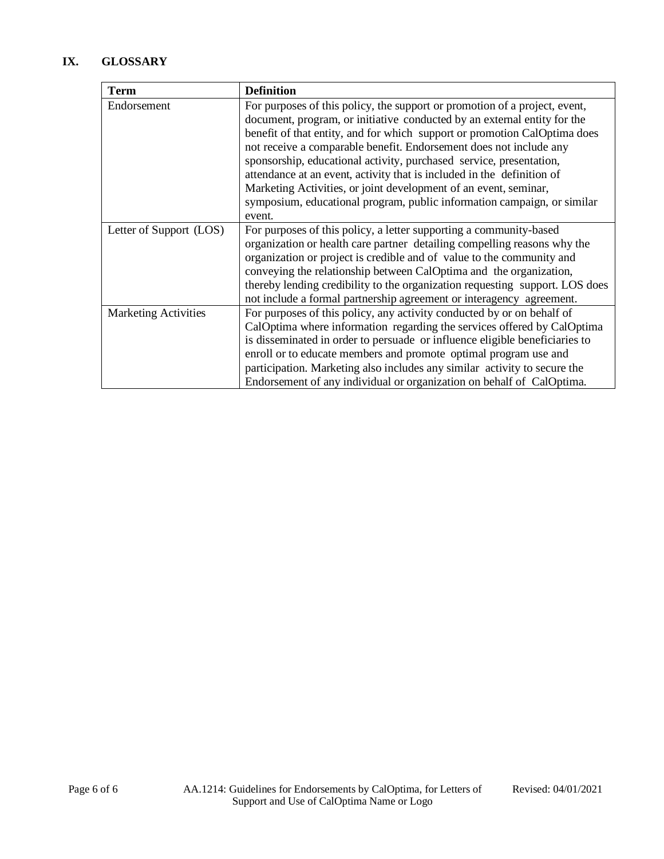# **IX. GLOSSARY**

| <b>Term</b>                 | <b>Definition</b>                                                            |
|-----------------------------|------------------------------------------------------------------------------|
| Endorsement                 | For purposes of this policy, the support or promotion of a project, event,   |
|                             | document, program, or initiative conducted by an external entity for the     |
|                             | benefit of that entity, and for which support or promotion CalOptima does    |
|                             | not receive a comparable benefit. Endorsement does not include any           |
|                             | sponsorship, educational activity, purchased service, presentation,          |
|                             | attendance at an event, activity that is included in the definition of       |
|                             | Marketing Activities, or joint development of an event, seminar,             |
|                             | symposium, educational program, public information campaign, or similar      |
|                             | event.                                                                       |
| Letter of Support (LOS)     | For purposes of this policy, a letter supporting a community-based           |
|                             | organization or health care partner detailing compelling reasons why the     |
|                             | organization or project is credible and of value to the community and        |
|                             | conveying the relationship between CalOptima and the organization,           |
|                             | thereby lending credibility to the organization requesting support. LOS does |
|                             | not include a formal partnership agreement or interagency agreement.         |
| <b>Marketing Activities</b> | For purposes of this policy, any activity conducted by or on behalf of       |
|                             | CalOptima where information regarding the services offered by CalOptima      |
|                             | is disseminated in order to persuade or influence eligible beneficiaries to  |
|                             | enroll or to educate members and promote optimal program use and             |
|                             | participation. Marketing also includes any similar activity to secure the    |
|                             | Endorsement of any individual or organization on behalf of CalOptima.        |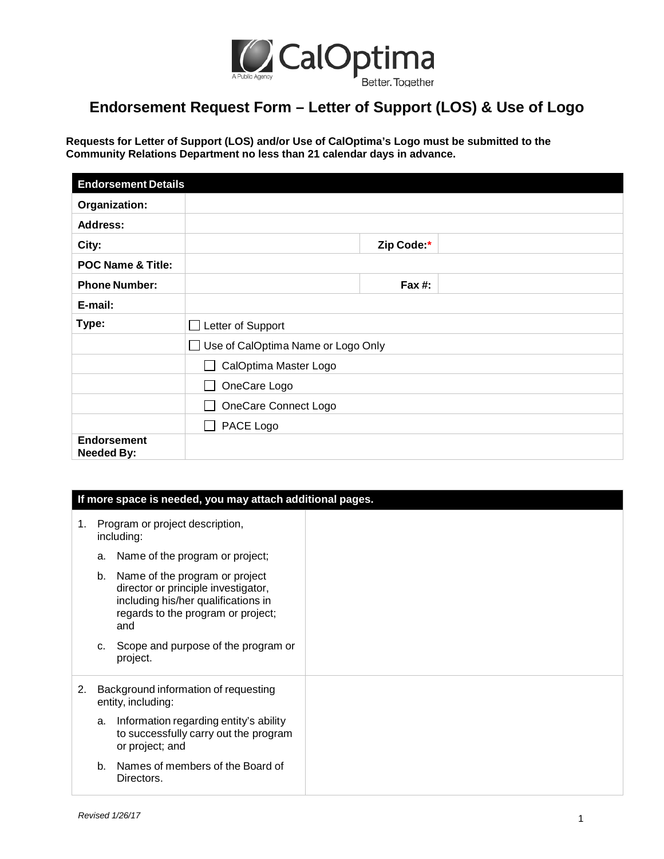

# **Endorsement Request Form – Letter of Support (LOS) & Use of Logo**

**Requests for Letter of Support (LOS) and/or Use of CalOptima's Logo must be submitted to the Community Relations Department no less than 21 calendar days in advance.** 

| <b>Endorsement Details</b>              |                                    |  |  |
|-----------------------------------------|------------------------------------|--|--|
| Organization:                           |                                    |  |  |
| <b>Address:</b>                         |                                    |  |  |
| City:                                   | Zip Code:*                         |  |  |
| <b>POC Name &amp; Title:</b>            |                                    |  |  |
| <b>Phone Number:</b>                    | Fax $#$ :                          |  |  |
| E-mail:                                 |                                    |  |  |
| Type:                                   | Letter of Support                  |  |  |
|                                         | Use of CalOptima Name or Logo Only |  |  |
|                                         | CalOptima Master Logo              |  |  |
|                                         | OneCare Logo                       |  |  |
|                                         | OneCare Connect Logo               |  |  |
|                                         | PACE Logo                          |  |  |
| <b>Endorsement</b><br><b>Needed By:</b> |                                    |  |  |

|    | If more space is needed, you may attach additional pages.  |                                                                                                                                                           |  |  |
|----|------------------------------------------------------------|-----------------------------------------------------------------------------------------------------------------------------------------------------------|--|--|
| 1. | Program or project description,<br>including:              |                                                                                                                                                           |  |  |
|    | a.                                                         | Name of the program or project;                                                                                                                           |  |  |
|    | b.                                                         | Name of the program or project<br>director or principle investigator,<br>including his/her qualifications in<br>regards to the program or project;<br>and |  |  |
|    | C.                                                         | Scope and purpose of the program or<br>project.                                                                                                           |  |  |
| 2. | Background information of requesting<br>entity, including: |                                                                                                                                                           |  |  |
|    | a.                                                         | Information regarding entity's ability<br>to successfully carry out the program<br>or project; and                                                        |  |  |
|    | b.                                                         | Names of members of the Board of<br>Directors.                                                                                                            |  |  |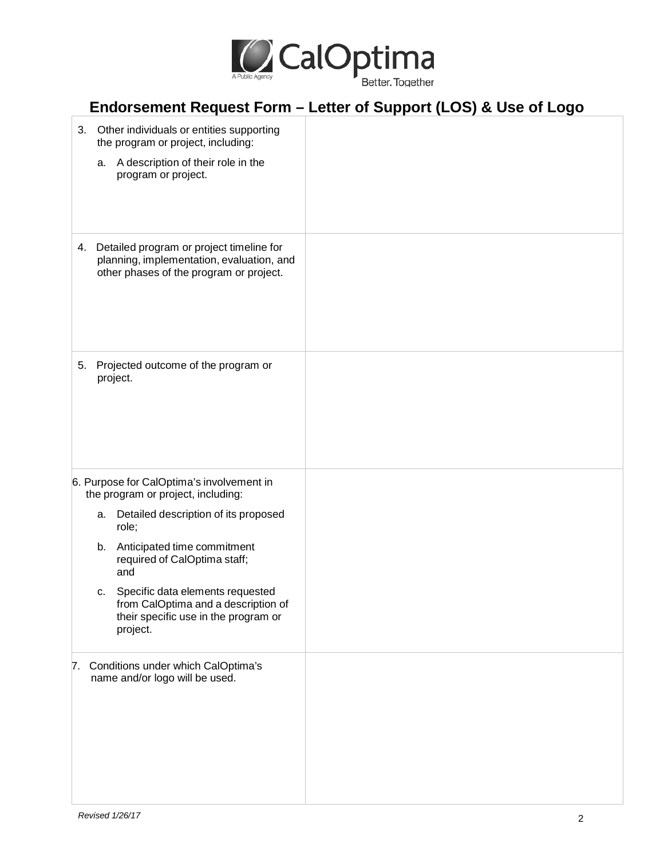

|    | Endorsement Request Form - Letter of Support (LOS) & Use of Logo                                                                    |  |  |  |
|----|-------------------------------------------------------------------------------------------------------------------------------------|--|--|--|
|    | 3. Other individuals or entities supporting<br>the program or project, including:                                                   |  |  |  |
|    | a. A description of their role in the<br>program or project.                                                                        |  |  |  |
|    | 4. Detailed program or project timeline for<br>planning, implementation, evaluation, and<br>other phases of the program or project. |  |  |  |
|    | 5. Projected outcome of the program or<br>project.                                                                                  |  |  |  |
|    | 6. Purpose for CalOptima's involvement in<br>the program or project, including:                                                     |  |  |  |
|    | a. Detailed description of its proposed<br>role;                                                                                    |  |  |  |
|    | b. Anticipated time commitment<br>required of CalOptima staff;<br>and                                                               |  |  |  |
|    | c. Specific data elements requested<br>from CalOptima and a description of<br>their specific use in the program or<br>project.      |  |  |  |
| 7. | Conditions under which CalOptima's<br>name and/or logo will be used.                                                                |  |  |  |